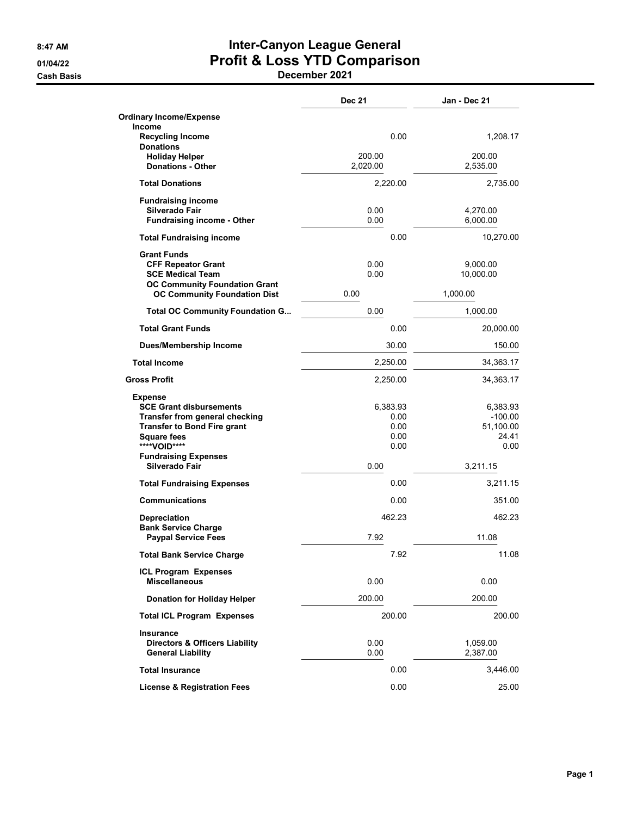## 8:47 AM **Inter-Canyon League General** 01/04/22 Profit & Loss YTD Comparison

|                                                                             | <b>Dec 21</b>      | Jan - Dec 21           |
|-----------------------------------------------------------------------------|--------------------|------------------------|
| <b>Ordinary Income/Expense</b>                                              |                    |                        |
| Income<br><b>Recycling Income</b>                                           | 0.00               | 1.208.17               |
| <b>Donations</b>                                                            |                    |                        |
| <b>Holiday Helper</b><br><b>Donations - Other</b>                           | 200.00<br>2,020.00 | 200.00<br>2,535.00     |
| <b>Total Donations</b>                                                      | 2,220.00           | 2,735.00               |
| <b>Fundraising income</b>                                                   |                    |                        |
| Silverado Fair<br><b>Fundraising income - Other</b>                         | 0.00<br>0.00       | 4,270.00<br>6,000.00   |
| <b>Total Fundraising income</b>                                             | 0.00               | 10,270.00              |
| <b>Grant Funds</b>                                                          |                    |                        |
| <b>CFF Repeator Grant</b>                                                   | 0.00               | 9,000.00               |
| <b>SCE Medical Team</b>                                                     | 0.00               | 10,000.00              |
| <b>OC Community Foundation Grant</b><br><b>OC Community Foundation Dist</b> | 0.00               | 1,000.00               |
| <b>Total OC Community Foundation G</b>                                      | 0.00               | 1,000.00               |
| <b>Total Grant Funds</b>                                                    | 0.00               | 20,000.00              |
| <b>Dues/Membership Income</b>                                               | 30.00              | 150.00                 |
| <b>Total Income</b>                                                         | 2,250.00           | 34,363.17              |
| <b>Gross Profit</b>                                                         | 2,250.00           | 34,363.17              |
| <b>Expense</b><br><b>SCE Grant disbursements</b>                            | 6,383.93           | 6,383.93               |
| Transfer from general checking<br><b>Transfer to Bond Fire grant</b>        | 0.00<br>0.00       | $-100.00$<br>51,100.00 |
| <b>Square fees</b>                                                          | 0.00               | 24.41                  |
| ****VOID****<br><b>Fundraising Expenses</b>                                 | 0.00               | 0.00                   |
| Silverado Fair                                                              | 0.00               | 3,211.15               |
| <b>Total Fundraising Expenses</b>                                           | 0.00               | 3,211.15               |
| <b>Communications</b>                                                       | 0.00               | 351.00                 |
| <b>Depreciation</b><br><b>Bank Service Charge</b>                           | 462.23             | 462.23                 |
| <b>Paypal Service Fees</b>                                                  | 7.92               | 11.08                  |
| <b>Total Bank Service Charge</b>                                            | 7.92               | 11.08                  |
| <b>ICL Program Expenses</b><br><b>Miscellaneous</b>                         |                    |                        |
|                                                                             | 0.00               | 0.00                   |
| <b>Donation for Holiday Helper</b>                                          | 200.00             | 200.00                 |
| <b>Total ICL Program Expenses</b>                                           | 200.00             | 200.00                 |
| Insurance<br><b>Directors &amp; Officers Liability</b>                      | 0.00               | 1,059.00               |
| <b>General Liability</b>                                                    | 0.00               | 2,387.00               |
| <b>Total Insurance</b>                                                      | 0.00               | 3,446.00               |
| <b>License &amp; Registration Fees</b>                                      | 0.00               | 25.00                  |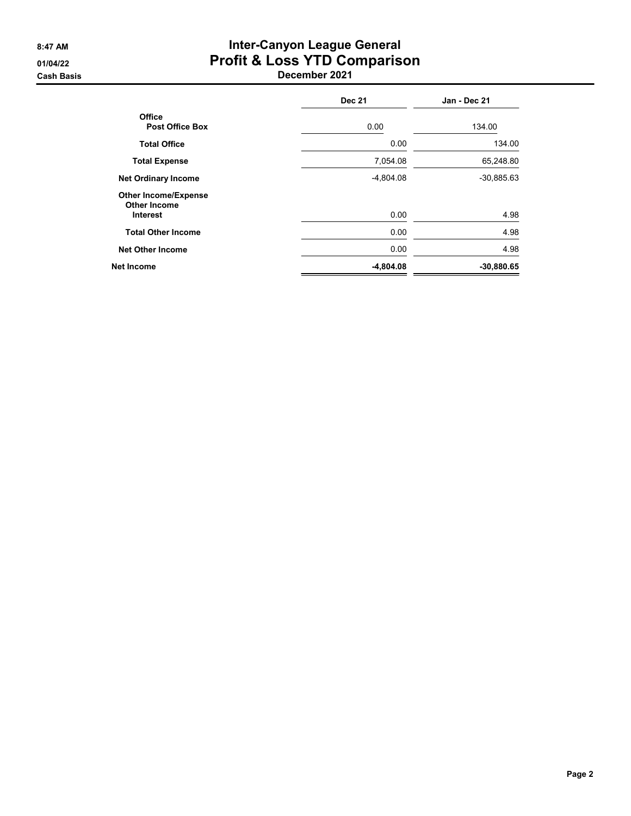## 8:47 AM **Inter-Canyon League General** 01/04/22 Profit & Loss YTD Comparison

|                                                                       | <b>Dec 21</b> | Jan - Dec 21 |
|-----------------------------------------------------------------------|---------------|--------------|
| <b>Office</b><br><b>Post Office Box</b>                               | 0.00          | 134.00       |
| <b>Total Office</b>                                                   | 0.00          | 134.00       |
| <b>Total Expense</b>                                                  | 7,054.08      | 65,248.80    |
| <b>Net Ordinary Income</b>                                            | $-4,804.08$   | $-30,885.63$ |
| <b>Other Income/Expense</b><br><b>Other Income</b><br><b>Interest</b> | 0.00          | 4.98         |
| <b>Total Other Income</b>                                             | 0.00          | 4.98         |
| <b>Net Other Income</b>                                               | 0.00          | 4.98         |
| <b>Net Income</b>                                                     | $-4,804.08$   | $-30,880.65$ |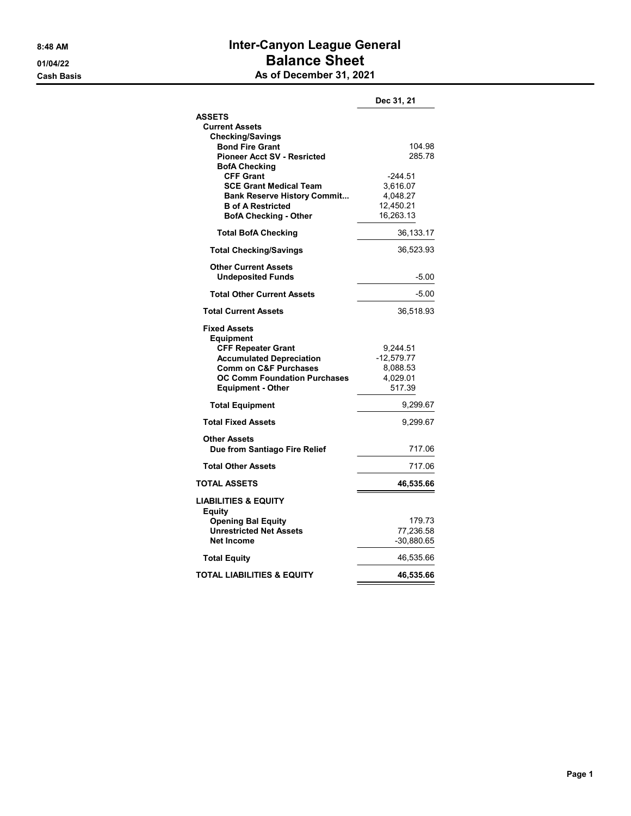### 8:48 AM **Inter-Canyon League General** 01/04/22 Balance Sheet **Cash Basis** Cash Basis **As of December 31, 2021**

|                                                                                                                                                                                                                | Dec 31, 21                                                  |
|----------------------------------------------------------------------------------------------------------------------------------------------------------------------------------------------------------------|-------------------------------------------------------------|
| <b>ASSETS</b><br><b>Current Assets</b><br><b>Checking/Savings</b>                                                                                                                                              |                                                             |
| <b>Bond Fire Grant</b><br><b>Pioneer Acct SV - Resricted</b><br><b>BofA Checking</b>                                                                                                                           | 104.98<br>285.78                                            |
| <b>CFF Grant</b><br><b>SCE Grant Medical Team</b><br><b>Bank Reserve History Commit</b><br><b>B</b> of A Restricted<br><b>BofA Checking - Other</b>                                                            | $-244.51$<br>3,616.07<br>4,048.27<br>12,450.21<br>16,263.13 |
| <b>Total BofA Checking</b>                                                                                                                                                                                     | 36,133.17                                                   |
| <b>Total Checking/Savings</b>                                                                                                                                                                                  | 36,523.93                                                   |
| <b>Other Current Assets</b><br><b>Undeposited Funds</b>                                                                                                                                                        | $-5.00$                                                     |
| <b>Total Other Current Assets</b>                                                                                                                                                                              | $-5.00$                                                     |
| <b>Total Current Assets</b>                                                                                                                                                                                    | 36,518.93                                                   |
| <b>Fixed Assets</b><br><b>Equipment</b><br><b>CFF Repeater Grant</b><br><b>Accumulated Depreciation</b><br><b>Comm on C&amp;F Purchases</b><br><b>OC Comm Foundation Purchases</b><br><b>Equipment - Other</b> | 9,244.51<br>$-12,579.77$<br>8,088.53<br>4,029.01<br>517.39  |
| <b>Total Equipment</b>                                                                                                                                                                                         | 9,299.67                                                    |
| <b>Total Fixed Assets</b>                                                                                                                                                                                      | 9,299.67                                                    |
| <b>Other Assets</b><br>Due from Santiago Fire Relief                                                                                                                                                           | 717.06                                                      |
| <b>Total Other Assets</b>                                                                                                                                                                                      | 717.06                                                      |
| <b>TOTAL ASSETS</b>                                                                                                                                                                                            | 46,535.66                                                   |
| <b>LIABILITIES &amp; EQUITY</b><br>Equity                                                                                                                                                                      |                                                             |
| <b>Opening Bal Equity</b><br><b>Unrestricted Net Assets</b><br><b>Net Income</b>                                                                                                                               | 179.73<br>77,236.58<br>-30,880.65                           |
| <b>Total Equity</b>                                                                                                                                                                                            | 46,535.66                                                   |
| TOTAL LIABILITIES & EQUITY                                                                                                                                                                                     | 46,535.66                                                   |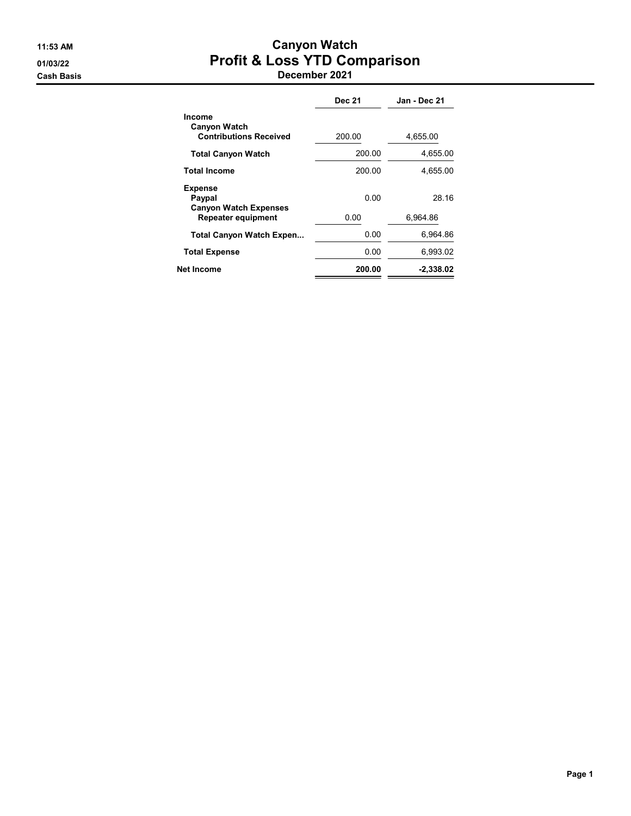#### 11:53 AM Canyon Watch 01/03/22 Profit & Loss YTD Comparison Cash Basis December 2021

|                                                                | <b>Dec 21</b> | Jan - Dec 21 |
|----------------------------------------------------------------|---------------|--------------|
| Income<br><b>Canyon Watch</b><br><b>Contributions Received</b> | 200.00        | 4,655.00     |
| <b>Total Canyon Watch</b>                                      | 200.00        | 4,655.00     |
| Total Income                                                   | 200.00        | 4,655.00     |
| <b>Expense</b><br>Paypal<br><b>Canyon Watch Expenses</b>       | 0.00          | 28.16        |
| <b>Repeater equipment</b>                                      | 0.00          | 6.964.86     |
| <b>Total Canyon Watch Expen</b>                                | 0.00          | 6,964.86     |
| <b>Total Expense</b>                                           | 0.00          | 6,993.02     |
| Net Income                                                     | 200.00        | $-2,338.02$  |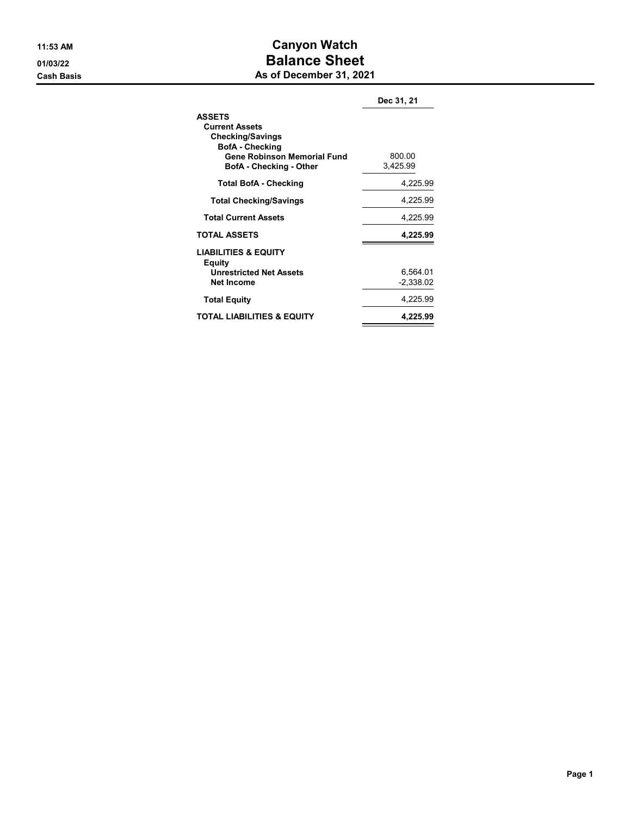#### 11:53 AM Canyon Watch 01/03/22 Balance Sheet **Cash Basis** Cash Basis **As of December 31, 2021**

|                                                                                                                                                              | Dec 31, 21              |
|--------------------------------------------------------------------------------------------------------------------------------------------------------------|-------------------------|
| <b>ASSETS</b><br><b>Current Assets</b><br><b>Checking/Savings</b><br><b>BofA</b> - Checking<br>Gene Robinson Memorial Fund<br><b>BofA</b> - Checking - Other | 800.00<br>3.425.99      |
| <b>Total BofA - Checking</b>                                                                                                                                 | 4,225.99                |
| <b>Total Checking/Savings</b>                                                                                                                                | 4,225.99                |
| <b>Total Current Assets</b>                                                                                                                                  | 4,225.99                |
| <b>TOTAL ASSETS</b>                                                                                                                                          | 4,225.99                |
| <b>LIABILITIES &amp; EQUITY</b><br>Equity<br><b>Unrestricted Net Assets</b><br><b>Net Income</b>                                                             | 6,564.01<br>$-2,338.02$ |
| <b>Total Equity</b>                                                                                                                                          | 4,225.99                |
| TOTAL LIABILITIES & EQUITY                                                                                                                                   | 4,225.99                |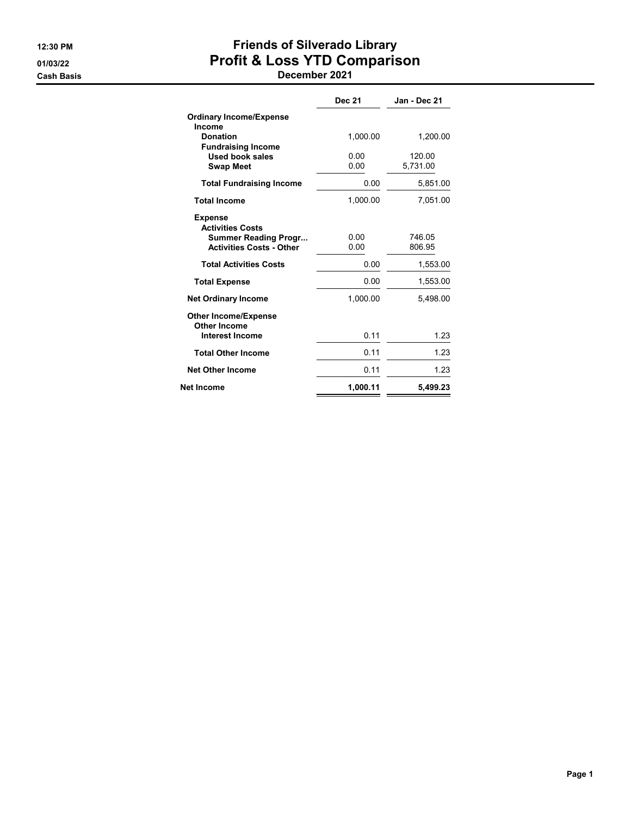# 12:30 PM **Friends of Silverado Library** 01/03/22 Profit & Loss YTD Comparison

|                                                                                                             | <b>Dec 21</b> | Jan - Dec 21       |
|-------------------------------------------------------------------------------------------------------------|---------------|--------------------|
| <b>Ordinary Income/Expense</b><br>Income                                                                    |               |                    |
| <b>Donation</b><br><b>Fundraising Income</b>                                                                | 1,000.00      | 1,200.00           |
| <b>Used book sales</b><br><b>Swap Meet</b>                                                                  | 0.00<br>0.00  | 120.00<br>5.731.00 |
| <b>Total Fundraising Income</b>                                                                             | 0.00          | 5,851.00           |
| <b>Total Income</b>                                                                                         | 1,000.00      | 7,051.00           |
| <b>Expense</b><br><b>Activities Costs</b><br><b>Summer Reading Progr</b><br><b>Activities Costs - Other</b> | 0.00<br>0.00  | 746.05<br>806.95   |
| <b>Total Activities Costs</b>                                                                               | 0.00          | 1,553.00           |
| <b>Total Expense</b>                                                                                        | 0.00          | 1,553.00           |
| <b>Net Ordinary Income</b>                                                                                  | 1.000.00      | 5,498.00           |
| <b>Other Income/Expense</b><br><b>Other Income</b>                                                          |               |                    |
| <b>Interest Income</b>                                                                                      | 0.11          | 1.23               |
| <b>Total Other Income</b>                                                                                   | 0.11          | 1.23               |
| <b>Net Other Income</b>                                                                                     | 0.11          | 1.23               |
| Net Income                                                                                                  | 1,000.11      | 5.499.23           |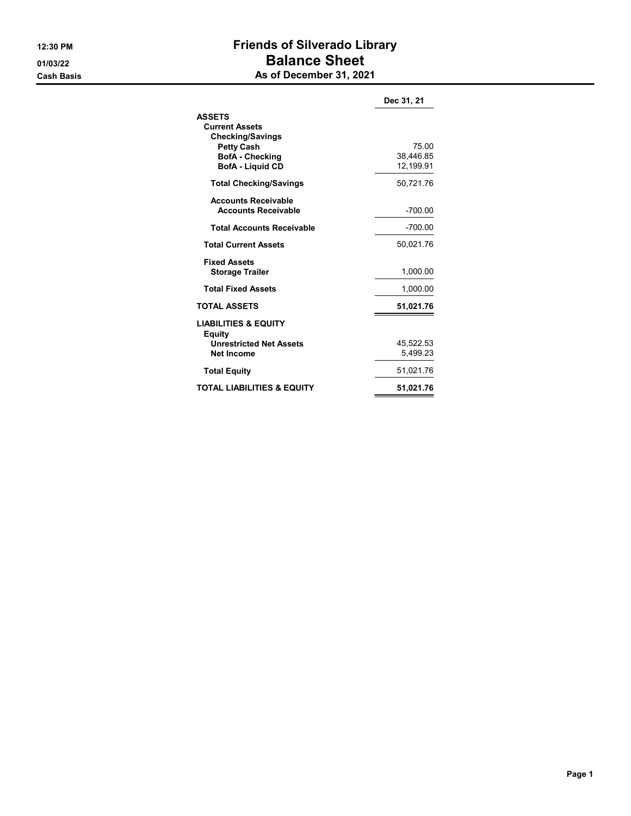## 12:30 PM **Friends of Silverado Library** 01/03/22 Balance Sheet **Cash Basis** Cash Basis **As of December 31, 2021**

|                                                                                                                                             | Dec 31, 21                      |
|---------------------------------------------------------------------------------------------------------------------------------------------|---------------------------------|
| <b>ASSETS</b><br><b>Current Assets</b><br><b>Checking/Savings</b><br><b>Petty Cash</b><br><b>BofA</b> - Checking<br><b>BofA</b> - Liquid CD | 75.00<br>38,446.85<br>12,199.91 |
| <b>Total Checking/Savings</b>                                                                                                               | 50,721.76                       |
| <b>Accounts Receivable</b><br><b>Accounts Receivable</b>                                                                                    | -700.00                         |
| <b>Total Accounts Receivable</b>                                                                                                            | $-700.00$                       |
| <b>Total Current Assets</b>                                                                                                                 | 50,021.76                       |
| <b>Fixed Assets</b><br><b>Storage Trailer</b>                                                                                               | 1,000.00                        |
| <b>Total Fixed Assets</b>                                                                                                                   | 1,000.00                        |
| <b>TOTAL ASSETS</b>                                                                                                                         | 51,021.76                       |
| <b>LIABILITIES &amp; EQUITY</b><br><b>Equity</b><br><b>Unrestricted Net Assets</b><br>Net Income                                            | 45.522.53<br>5,499.23           |
| <b>Total Equity</b>                                                                                                                         | 51,021.76                       |
| <b>TOTAL LIABILITIES &amp; EQUITY</b>                                                                                                       | 51,021.76                       |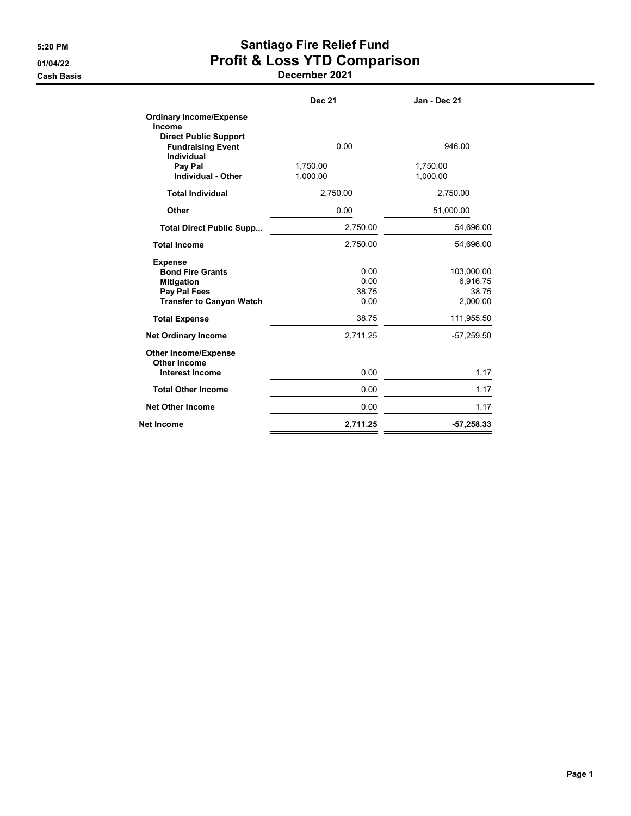## 5:20 PM Santiago Fire Relief Fund 01/04/22 Profit & Loss YTD Comparison

|                                                                                                                   | <b>Dec 21</b>                 | Jan - Dec 21                                |
|-------------------------------------------------------------------------------------------------------------------|-------------------------------|---------------------------------------------|
| <b>Ordinary Income/Expense</b><br>Income                                                                          |                               |                                             |
| <b>Direct Public Support</b><br><b>Fundraising Event</b><br><b>Individual</b>                                     | 0.00                          | 946.00                                      |
| Pay Pal<br><b>Individual - Other</b>                                                                              | 1,750.00<br>1,000.00          | 1,750.00<br>1,000.00                        |
| <b>Total Individual</b>                                                                                           | 2,750.00                      | 2,750.00                                    |
| Other                                                                                                             | 0.00                          | 51,000.00                                   |
| <b>Total Direct Public Supp</b>                                                                                   | 2,750.00                      | 54,696.00                                   |
| <b>Total Income</b>                                                                                               | 2,750.00                      | 54,696.00                                   |
| <b>Expense</b><br><b>Bond Fire Grants</b><br><b>Mitigation</b><br>Pay Pal Fees<br><b>Transfer to Canyon Watch</b> | 0.00<br>0.00<br>38.75<br>0.00 | 103,000.00<br>6,916.75<br>38.75<br>2,000.00 |
| <b>Total Expense</b>                                                                                              | 38.75                         | 111,955.50                                  |
| <b>Net Ordinary Income</b>                                                                                        | 2,711.25                      | $-57,259.50$                                |
| <b>Other Income/Expense</b><br><b>Other Income</b><br><b>Interest Income</b>                                      | 0.00                          | 1.17                                        |
| <b>Total Other Income</b>                                                                                         | 0.00                          | 1.17                                        |
| <b>Net Other Income</b>                                                                                           | 0.00                          | 1.17                                        |
| Net Income                                                                                                        | 2,711.25                      | -57,258.33                                  |